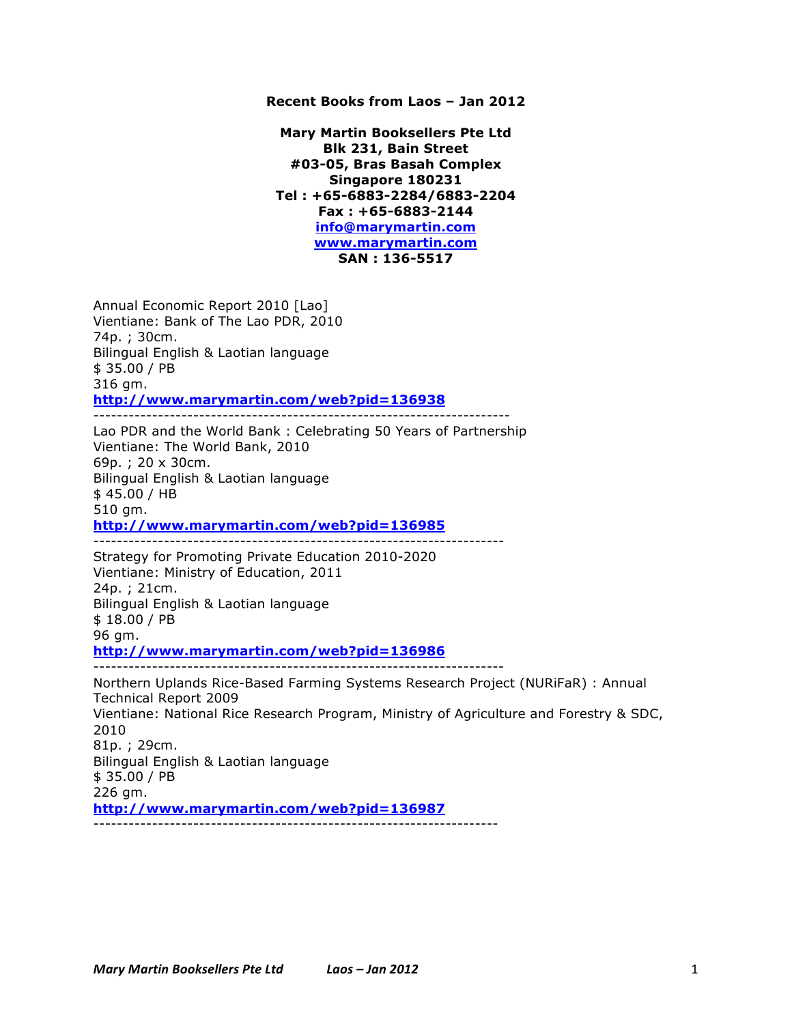## **Recent Books from Laos – Jan 2012**

**Mary Martin Booksellers Pte Ltd Blk 231, Bain Street #03-05, Bras Basah Complex Singapore 180231 Tel : +65-6883-2284/6883-2204 Fax : +65-6883-2144 info@marymartin.com www.marymartin.com SAN : 136-5517**

Annual Economic Report 2010 [Lao] Vientiane: Bank of The Lao PDR, 2010 74p. ; 30cm. Bilingual English & Laotian language \$ 35.00 / PB 316 gm. **http://www.marymartin.com/web?pid=136938**

Lao PDR and the World Bank : Celebrating 50 Years of Partnership Vientiane: The World Bank, 2010 69p. ; 20 x 30cm. Bilingual English & Laotian language \$ 45.00 / HB 510 gm. **http://www.marymartin.com/web?pid=136985**

-----------------------------------------------------------------------

----------------------------------------------------------------------

Strategy for Promoting Private Education 2010-2020 Vientiane: Ministry of Education, 2011 24p. ; 21cm. Bilingual English & Laotian language \$ 18.00 / PB 96 gm. **http://www.marymartin.com/web?pid=136986**

----------------------------------------------------------------------

Northern Uplands Rice-Based Farming Systems Research Project (NURiFaR) : Annual Technical Report 2009 Vientiane: National Rice Research Program, Ministry of Agriculture and Forestry & SDC, 2010 81p. ; 29cm. Bilingual English & Laotian language \$ 35.00 / PB 226 gm. **http://www.marymartin.com/web?pid=136987** ---------------------------------------------------------------------